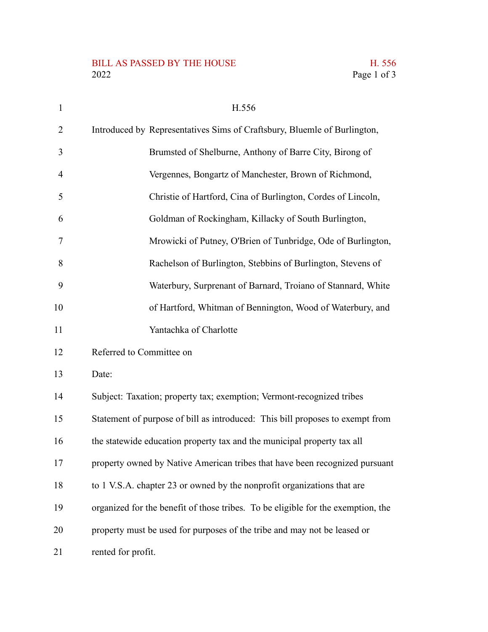## BILL AS PASSED BY THE HOUSE H. 556<br>2022 Page 1 of 3

| $\mathbf{1}$ | H.556                                                                            |
|--------------|----------------------------------------------------------------------------------|
| 2            | Introduced by Representatives Sims of Craftsbury, Bluemle of Burlington,         |
| 3            | Brumsted of Shelburne, Anthony of Barre City, Birong of                          |
| 4            | Vergennes, Bongartz of Manchester, Brown of Richmond,                            |
| 5            | Christie of Hartford, Cina of Burlington, Cordes of Lincoln,                     |
| 6            | Goldman of Rockingham, Killacky of South Burlington,                             |
| 7            | Mrowicki of Putney, O'Brien of Tunbridge, Ode of Burlington,                     |
| 8            | Rachelson of Burlington, Stebbins of Burlington, Stevens of                      |
| 9            | Waterbury, Surprenant of Barnard, Troiano of Stannard, White                     |
| 10           | of Hartford, Whitman of Bennington, Wood of Waterbury, and                       |
| 11           | Yantachka of Charlotte                                                           |
| 12           | Referred to Committee on                                                         |
| 13           | Date:                                                                            |
| 14           | Subject: Taxation; property tax; exemption; Vermont-recognized tribes            |
| 15           | Statement of purpose of bill as introduced: This bill proposes to exempt from    |
| 16           | the statewide education property tax and the municipal property tax all          |
| 17           | property owned by Native American tribes that have been recognized pursuant      |
| 18           | to 1 V.S.A. chapter 23 or owned by the nonprofit organizations that are          |
| 19           | organized for the benefit of those tribes. To be eligible for the exemption, the |
| 20           | property must be used for purposes of the tribe and may not be leased or         |
| 21           | rented for profit.                                                               |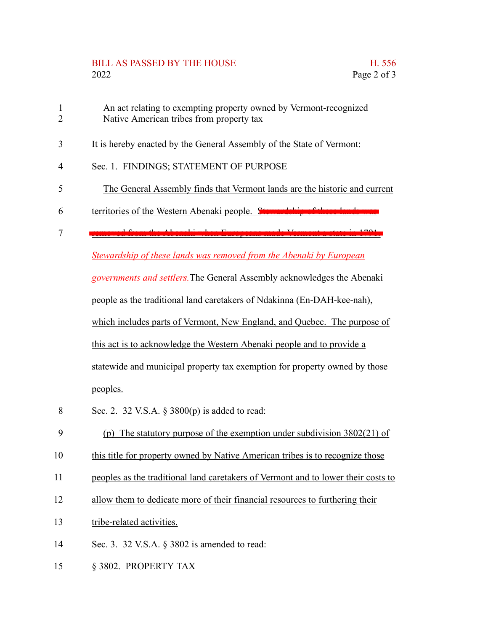## BILL AS PASSED BY THE HOUSE THE HOUSE THE S56 2022 Page 2 of 3

- An act relating to exempting property owned by Vermont-recognized Native American tribes from property tax 1 2
- It is hereby enacted by the General Assembly of the State of Vermont: 3
- Sec. 1. FINDINGS; STATEMENT OF PURPOSE 4
- The General Assembly finds that Vermont lands are the historic and current 5
- territories of the Western Abenaki people. Stewardship 6
- removed from the Abenaki when Europeans made Vermont a state in 1791. 7

*Stewardship of these lands was removed from the Abenaki by European*

*governments and settlers.*The General Assembly acknowledges the Abenaki

people as the traditional land caretakers of Ndakinna (En-DAH-kee-nah),

which includes parts of Vermont, New England, and Quebec. The purpose of

this act is to acknowledge the Western Abenaki people and to provide a

statewide and municipal property tax exemption for property owned by those peoples.

- Sec. 2. 32 V.S.A. § 3800(p) is added to read: 8
- (p) The statutory purpose of the exemption under subdivision 3802(21) of 9
- this title for property owned by Native American tribes is to recognize those 10
- peoples as the traditional land caretakers of Vermont and to lower their costs to 11
- allow them to dedicate more of their financial resources to furthering their 12
- tribe-related activities. 13
- Sec. 3. 32 V.S.A. § 3802 is amended to read: 14
- § 3802. PROPERTY TAX 15